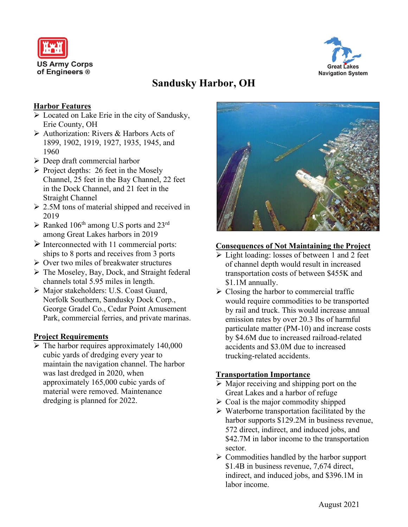



# **Sandusky Harbor, OH**

# **Harbor Features**

- **Example 2** Located on Lake Erie in the city of Sandusky, Erie County, OH
- Authorization: Rivers & Harbors Acts of 1899, 1902, 1919, 1927, 1935, 1945, and 1960
- $\triangleright$  Deep draft commercial harbor
- $\triangleright$  Project depths: 26 feet in the Mosely Channel, 25 feet in the Bay Channel, 22 feet in the Dock Channel, and 21 feet in the Straight Channel
- $\geq$  2.5M tons of material shipped and received in 2019
- $\triangleright$  Ranked 106<sup>th</sup> among U.S ports and 23<sup>rd</sup> among Great Lakes harbors in 2019
- $\triangleright$  Interconnected with 11 commercial ports: ships to 8 ports and receives from 3 ports
- $\triangleright$  Over two miles of breakwater structures
- $\triangleright$  The Moseley, Bay, Dock, and Straight federal channels total 5.95 miles in length.
- Major stakeholders: U.S. Coast Guard, Norfolk Southern, Sandusky Dock Corp., George Gradel Co., Cedar Point Amusement Park, commercial ferries, and private marinas.

## **Project Requirements**

 $\triangleright$  The harbor requires approximately 140,000 cubic yards of dredging every year to maintain the navigation channel. The harbor was last dredged in 2020, when approximately 165,000 cubic yards of material were removed. Maintenance dredging is planned for 2022.



#### **Consequences of Not Maintaining the Project**

- Light loading: losses of between 1 and 2 feet of channel depth would result in increased transportation costs of between \$455K and \$1.1M annually.
- $\triangleright$  Closing the harbor to commercial traffic would require commodities to be transported by rail and truck. This would increase annual emission rates by over 20.3 lbs of harmful particulate matter (PM-10) and increase costs by \$4.6M due to increased railroad-related accidents and \$3.0M due to increased trucking-related accidents.

## **Transportation Importance**

- $\triangleright$  Major receiving and shipping port on the Great Lakes and a harbor of refuge
- $\triangleright$  Coal is the major commodity shipped
- $\triangleright$  Waterborne transportation facilitated by the harbor supports \$129.2M in business revenue, 572 direct, indirect, and induced jobs, and \$42.7M in labor income to the transportation sector.
- $\triangleright$  Commodities handled by the harbor support \$1.4B in business revenue, 7,674 direct, indirect, and induced jobs, and \$396.1M in labor income.